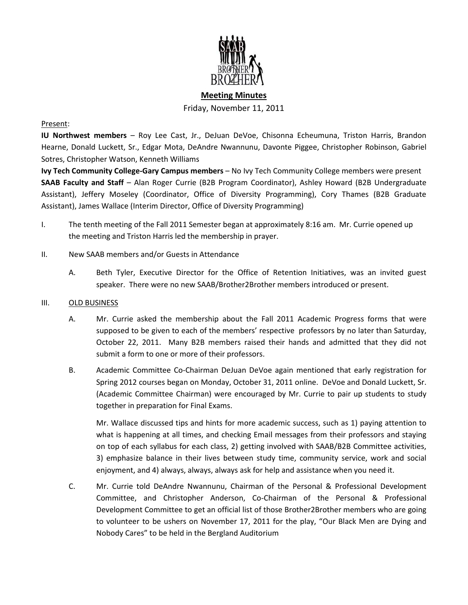

# **Meeting Minutes** Friday, November 11, 2011

## Present:

**IU Northwest members** – Roy Lee Cast, Jr., DeJuan DeVoe, Chisonna Echeumuna, Triston Harris, Brandon Hearne, Donald Luckett, Sr., Edgar Mota, DeAndre Nwannunu, Davonte Piggee, Christopher Robinson, Gabriel Sotres, Christopher Watson, Kenneth Williams

**Ivy Tech Community College-Gary Campus members** – No Ivy Tech Community College members were present **SAAB Faculty and Staff** – Alan Roger Currie (B2B Program Coordinator), Ashley Howard (B2B Undergraduate Assistant), Jeffery Moseley (Coordinator, Office of Diversity Programming), Cory Thames (B2B Graduate Assistant), James Wallace (Interim Director, Office of Diversity Programming)

- I. The tenth meeting of the Fall 2011 Semester began at approximately 8:16 am. Mr. Currie opened up the meeting and Triston Harris led the membership in prayer.
- II. New SAAB members and/or Guests in Attendance
	- A. Beth Tyler, Executive Director for the Office of Retention Initiatives, was an invited guest speaker. There were no new SAAB/Brother2Brother members introduced or present.

### III. OLD BUSINESS

- A. Mr. Currie asked the membership about the Fall 2011 Academic Progress forms that were supposed to be given to each of the members' respective professors by no later than Saturday, October 22, 2011. Many B2B members raised their hands and admitted that they did not submit a form to one or more of their professors.
- B. Academic Committee Co-Chairman DeJuan DeVoe again mentioned that early registration for Spring 2012 courses began on Monday, October 31, 2011 online. DeVoe and Donald Luckett, Sr. (Academic Committee Chairman) were encouraged by Mr. Currie to pair up students to study together in preparation for Final Exams.

Mr. Wallace discussed tips and hints for more academic success, such as 1) paying attention to what is happening at all times, and checking Email messages from their professors and staying on top of each syllabus for each class, 2) getting involved with SAAB/B2B Committee activities, 3) emphasize balance in their lives between study time, community service, work and social enjoyment, and 4) always, always, always ask for help and assistance when you need it.

C. Mr. Currie told DeAndre Nwannunu, Chairman of the Personal & Professional Development Committee, and Christopher Anderson, Co-Chairman of the Personal & Professional Development Committee to get an official list of those Brother2Brother members who are going to volunteer to be ushers on November 17, 2011 for the play, "Our Black Men are Dying and Nobody Cares" to be held in the Bergland Auditorium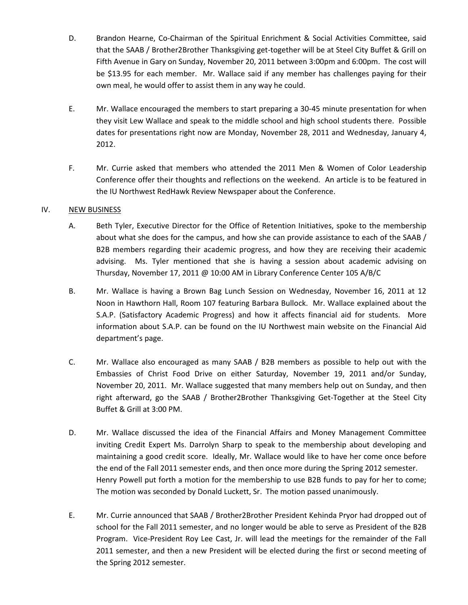- D. Brandon Hearne, Co-Chairman of the Spiritual Enrichment & Social Activities Committee, said that the SAAB / Brother2Brother Thanksgiving get-together will be at Steel City Buffet & Grill on Fifth Avenue in Gary on Sunday, November 20, 2011 between 3:00pm and 6:00pm. The cost will be \$13.95 for each member. Mr. Wallace said if any member has challenges paying for their own meal, he would offer to assist them in any way he could.
- E. Mr. Wallace encouraged the members to start preparing a 30-45 minute presentation for when they visit Lew Wallace and speak to the middle school and high school students there. Possible dates for presentations right now are Monday, November 28, 2011 and Wednesday, January 4, 2012.
- F. Mr. Currie asked that members who attended the 2011 Men & Women of Color Leadership Conference offer their thoughts and reflections on the weekend. An article is to be featured in the IU Northwest RedHawk Review Newspaper about the Conference.

# IV. NEW BUSINESS

- A. Beth Tyler, Executive Director for the Office of Retention Initiatives, spoke to the membership about what she does for the campus, and how she can provide assistance to each of the SAAB / B2B members regarding their academic progress, and how they are receiving their academic advising. Ms. Tyler mentioned that she is having a session about academic advising on Thursday, November 17, 2011 @ 10:00 AM in Library Conference Center 105 A/B/C
- B. Mr. Wallace is having a Brown Bag Lunch Session on Wednesday, November 16, 2011 at 12 Noon in Hawthorn Hall, Room 107 featuring Barbara Bullock. Mr. Wallace explained about the S.A.P. (Satisfactory Academic Progress) and how it affects financial aid for students. More information about S.A.P. can be found on the IU Northwest main website on the Financial Aid department's page.
- C. Mr. Wallace also encouraged as many SAAB / B2B members as possible to help out with the Embassies of Christ Food Drive on either Saturday, November 19, 2011 and/or Sunday, November 20, 2011. Mr. Wallace suggested that many members help out on Sunday, and then right afterward, go the SAAB / Brother2Brother Thanksgiving Get-Together at the Steel City Buffet & Grill at 3:00 PM.
- D. Mr. Wallace discussed the idea of the Financial Affairs and Money Management Committee inviting Credit Expert Ms. Darrolyn Sharp to speak to the membership about developing and maintaining a good credit score. Ideally, Mr. Wallace would like to have her come once before the end of the Fall 2011 semester ends, and then once more during the Spring 2012 semester. Henry Powell put forth a motion for the membership to use B2B funds to pay for her to come; The motion was seconded by Donald Luckett, Sr. The motion passed unanimously.
- E. Mr. Currie announced that SAAB / Brother2Brother President Kehinda Pryor had dropped out of school for the Fall 2011 semester, and no longer would be able to serve as President of the B2B Program. Vice-President Roy Lee Cast, Jr. will lead the meetings for the remainder of the Fall 2011 semester, and then a new President will be elected during the first or second meeting of the Spring 2012 semester.